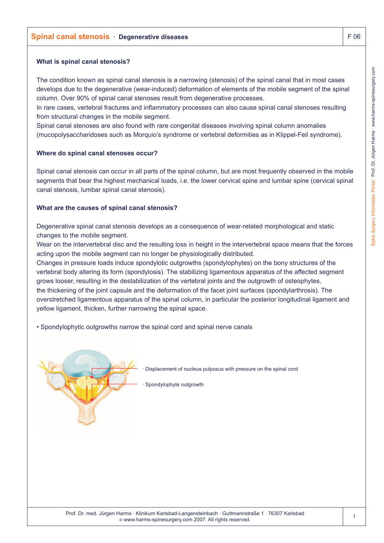## **Spinal canal stenosis · Degenerative diseases F 06 and 20 and 20 and 20 and 20 and 20 and 20 and 20 and 20 and 20 and 20 and 20 and 20 and 20 and 20 and 20 and 20 and 20 and 20 and 20 and 20 and 20 and 20 and 20 and 20 an**

#### **What is spinal canal stenosis?**

The condition known as spinal canal stenosis is a narrowing (stenosis) of the spinal canal that in most cases develops due to the degenerative (wear-induced) deformation of elements of the mobile segment of the spinal column. Over 90% of spinal canal stenoses result from degenerative processes.

In rare cases, vertebral fractures and inflammatory processes can also cause spinal canal stenoses resulting from structural changes in the mobile segment.

Spinal canal stenoses are also found with rare congenital diseases involving spinal column anomalies (mucopolysaccharidoses such as Morquio's syndrome or vertebral deformities as in Klippel-Feil syndrome).

### **Where do spinal canal stenoses occur?**

Spinal canal stenosis can occur in all parts of the spinal column, but are most frequently observed in the mobile segments that bear the highest mechanical loads, i.e. the lower cervical spine and lumbar spine (cervical spinal canal stenosis, lumbar spinal canal stenosis).

### **What are the causes of spinal canal stenosis?**

Degenerative spinal canal stenosis develops as a consequence of wear-related morphological and static changes to the mobile segment.

Wear on the intervertebral disc and the resulting loss in height in the intervertebral space means that the forces acting upon the mobile segment can no longer be physiologically distributed.

Changes in pressure loads induce spondylotic outgrowths (spondylophytes) on the bony structures of the vertebral body altering its form (spondylosis). The stabilizing ligamentous apparatus of the affected segment grows looser, resulting in the destabilization of the vertebral joints and the outgrowth of osteophytes, the thickening of the joint capsule and the deformation of the facet joint surfaces (spondylarthrosis). The overstretched ligamentous apparatus of the spinal column, in particular the posterior longitudinal ligament and yellow ligament, thicken, further narrowing the spinal space.

• Spondylophytic outgrowths narrow the spinal cord and spinal nerve canals



Displacement of nucleus pulposus with pressure on the spinal cord

Spondylophyte outgrowth

1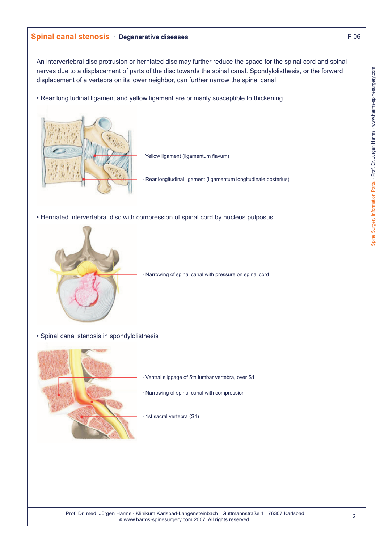# **Spinal canal stenosis · Degenerative diseases** F 06

An intervertebral disc protrusion or herniated disc may further reduce the space for the spinal cord and spinal nerves due to a displacement of parts of the disc towards the spinal canal. Spondylolisthesis, or the forward displacement of a vertebra on its lower neighbor, can further narrow the spinal canal.

• Rear longitudinal ligament and yellow ligament are primarily susceptible to thickening



Yellow ligament (ligamentum flavum)

· Rear longitudinal ligament (ligamentum longitudinale posterius)

• Herniated intervertebral disc with compression of spinal cord by nucleus pulposus



Narrowing of spinal canal with pressure on spinal cord

• Spinal canal stenosis in spondylolisthesis

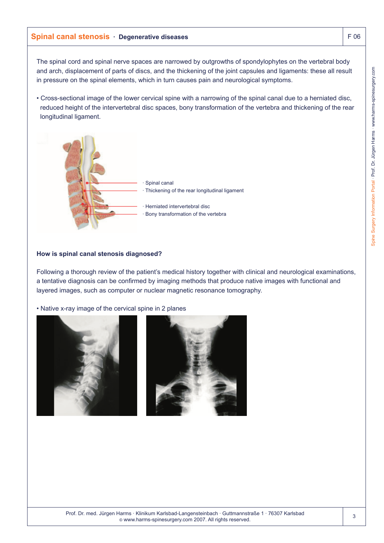# **Spinal canal stenosis · Degenerative diseases** F 06

The spinal cord and spinal nerve spaces are narrowed by outgrowths of spondylophytes on the vertebral body and arch, displacement of parts of discs, and the thickening of the joint capsules and ligaments: these all result in pressure on the spinal elements, which in turn causes pain and neurological symptoms.

• Cross-sectional image of the lower cervical spine with a narrowing of the spinal canal due to a herniated disc, reduced height of the intervertebral disc spaces, bony transformation of the vertebra and thickening of the rear longitudinal ligament.



### **How is spinal canal stenosis diagnosed?**

Following a thorough review of the patient's medical history together with clinical and neurological examinations, a tentative diagnosis can be confirmed by imaging methods that produce native images with functional and layered images, such as computer or nuclear magnetic resonance tomography.

• Native x-ray image of the cervical spine in 2 planes

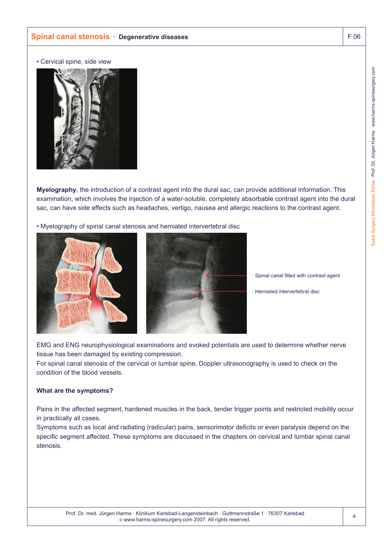• Cervical spine, side view



**Myelography**, the introduction of a contrast agent into the dural sac, can provide additional information. This examination, which involves the injection of a water-soluble, completely absorbable contrast agent into the dural sac, can have side effects such as headaches, vertigo, nausea and allergic reactions to the contrast agent.

• Myelography of spinal canal stenosis and herniated intervertebral disc





· Spinal canal filled with contrast agent

· Herniated intervertebral disc

EMG and ENG neurophysiological examinations and evoked potentials are used to determine whether nerve tissue has been damaged by existing compression.

For spinal canal stenosis of the cervical or lumbar spine, Doppler ultrasonography is used to check on the condition of the blood vessels.

## **What are the symptoms?**

Pains in the affected segment, hardened muscles in the back, tender trigger points and restricted mobility occur in practically all cases.

Symptoms such as local and radiating (radicular) pains, sensorimotor deficits or even paralysis depend on the specific segment affected. These symptoms are discussed in the chapters on cervical and lumbar spinal canal stenosis.